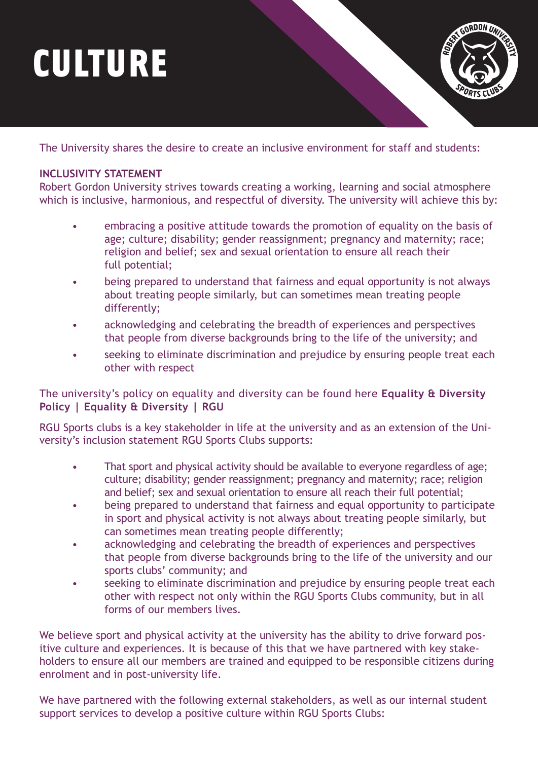## CULTURE

ORDON UN

The University shares the desire to create an inclusive environment for staff and students:

## **INCLUSIVITY STATEMENT**

Robert Gordon University strives towards creating a working, learning and social atmosphere which is inclusive, harmonious, and respectful of diversity. The university will achieve this by:

- embracing a positive attitude towards the promotion of equality on the basis of age; culture; disability; gender reassignment; pregnancy and maternity; race; religion and belief; sex and sexual orientation to ensure all reach their full potential;
- being prepared to understand that fairness and equal opportunity is not always about treating people similarly, but can sometimes mean treating people differently;
- acknowledging and celebrating the breadth of experiences and perspectives that people from diverse backgrounds bring to the life of the university; and
- seeking to eliminate discrimination and prejudice by ensuring people treat each other with respect

[The university's policy on equality and diversity can be found here](https://www.rgu.ac.uk/about/governance/equality-diversity/equality-diversity-policy#:~:text=of%20University%20regulations.-,Inclusivity%20Statement,harmonious%20and%20respectful%20of%20diversity.) **Equality & Diversity Policy | Equality & Diversity | RGU**

RGU Sports clubs is a key stakeholder in life at the university and as an extension of the University's inclusion statement RGU Sports Clubs supports:

- That sport and physical activity should be available to everyone regardless of age; culture; disability; gender reassignment; pregnancy and maternity; race; religion and belief; sex and sexual orientation to ensure all reach their full potential;
- being prepared to understand that fairness and equal opportunity to participate in sport and physical activity is not always about treating people similarly, but can sometimes mean treating people differently;
- acknowledging and celebrating the breadth of experiences and perspectives that people from diverse backgrounds bring to the life of the university and our sports clubs' community; and
- seeking to eliminate discrimination and prejudice by ensuring people treat each other with respect not only within the RGU Sports Clubs community, but in all forms of our members lives.

We believe sport and physical activity at the university has the ability to drive forward positive culture and experiences. It is because of this that we have partnered with key stakeholders to ensure all our members are trained and equipped to be responsible citizens during enrolment and in post-university life.

We have partnered with the following external stakeholders, as well as our internal student support services to develop a positive culture within RGU Sports Clubs: